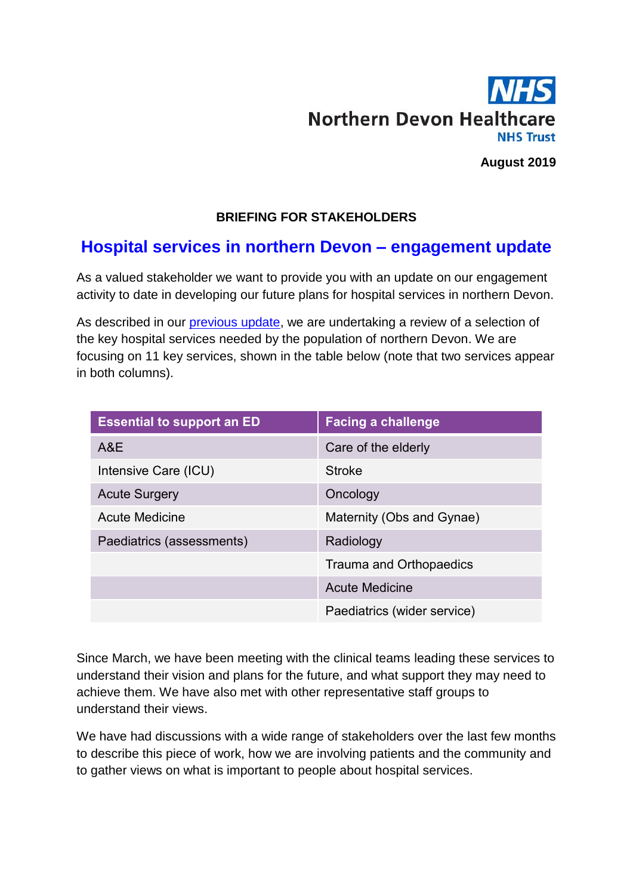

**August 2019**

## **BRIEFING FOR STAKEHOLDERS**

# **Hospital services in northern Devon – engagement update**

As a valued stakeholder we want to provide you with an update on our engagement activity to date in developing our future plans for hospital services in northern Devon.

As described in our [previous update,](https://www.northdevonhealth.nhs.uk/wp-content/uploads/2019/06/Briefing-for-stakeholders-hospital-services-in-northern-Devon.pdf) we are undertaking a review of a selection of the key hospital services needed by the population of northern Devon. We are focusing on 11 key services, shown in the table below (note that two services appear in both columns).

| <b>Essential to support an ED</b> | <b>Facing a challenge</b>   |
|-----------------------------------|-----------------------------|
| A&E                               | Care of the elderly         |
| Intensive Care (ICU)              | <b>Stroke</b>               |
| <b>Acute Surgery</b>              | Oncology                    |
| <b>Acute Medicine</b>             | Maternity (Obs and Gynae)   |
| Paediatrics (assessments)         | Radiology                   |
|                                   | Trauma and Orthopaedics     |
|                                   | <b>Acute Medicine</b>       |
|                                   | Paediatrics (wider service) |

Since March, we have been meeting with the clinical teams leading these services to understand their vision and plans for the future, and what support they may need to achieve them. We have also met with other representative staff groups to understand their views.

We have had discussions with a wide range of stakeholders over the last few months to describe this piece of work, how we are involving patients and the community and to gather views on what is important to people about hospital services.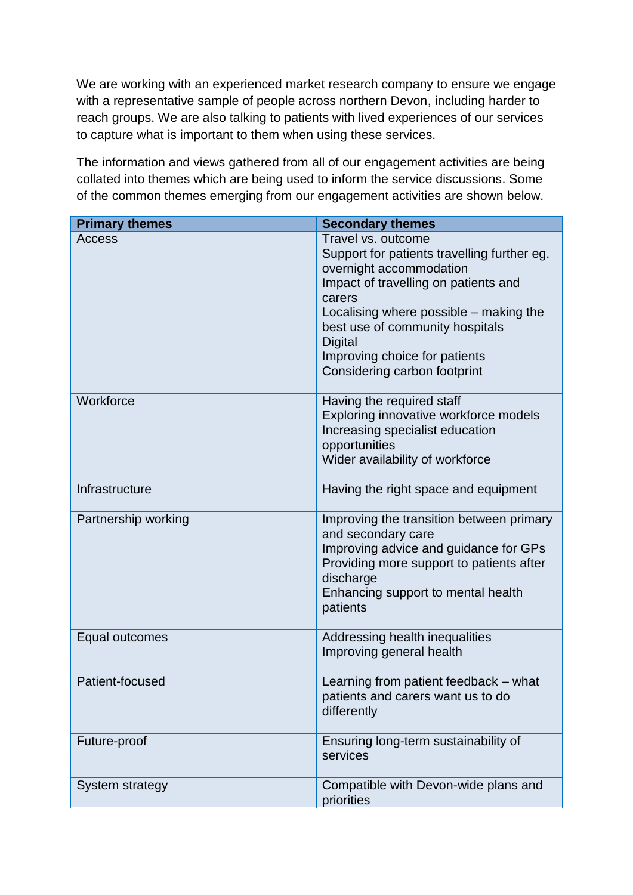We are working with an experienced market research company to ensure we engage with a representative sample of people across northern Devon, including harder to reach groups. We are also talking to patients with lived experiences of our services to capture what is important to them when using these services.

The information and views gathered from all of our engagement activities are being collated into themes which are being used to inform the service discussions. Some of the common themes emerging from our engagement activities are shown below.

| <b>Primary themes</b> | <b>Secondary themes</b>                                                                                                                                                                                                                                                                                        |
|-----------------------|----------------------------------------------------------------------------------------------------------------------------------------------------------------------------------------------------------------------------------------------------------------------------------------------------------------|
| <b>Access</b>         | Travel vs. outcome<br>Support for patients travelling further eg.<br>overnight accommodation<br>Impact of travelling on patients and<br>carers<br>Localising where possible – making the<br>best use of community hospitals<br><b>Digital</b><br>Improving choice for patients<br>Considering carbon footprint |
| Workforce             | Having the required staff<br>Exploring innovative workforce models<br>Increasing specialist education<br>opportunities<br>Wider availability of workforce                                                                                                                                                      |
| Infrastructure        | Having the right space and equipment                                                                                                                                                                                                                                                                           |
| Partnership working   | Improving the transition between primary<br>and secondary care<br>Improving advice and guidance for GPs<br>Providing more support to patients after<br>discharge<br>Enhancing support to mental health<br>patients                                                                                             |
| Equal outcomes        | Addressing health inequalities<br>Improving general health                                                                                                                                                                                                                                                     |
| Patient-focused       | Learning from patient feedback – what<br>patients and carers want us to do<br>differently                                                                                                                                                                                                                      |
| Future-proof          | Ensuring long-term sustainability of<br>services                                                                                                                                                                                                                                                               |
| System strategy       | Compatible with Devon-wide plans and<br>priorities                                                                                                                                                                                                                                                             |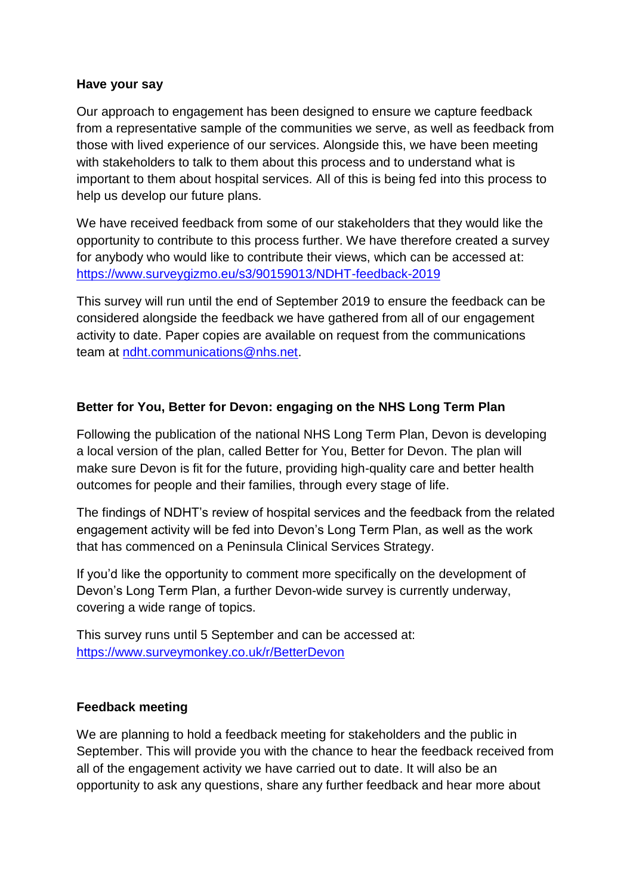#### **Have your say**

Our approach to engagement has been designed to ensure we capture feedback from a representative sample of the communities we serve, as well as feedback from those with lived experience of our services. Alongside this, we have been meeting with stakeholders to talk to them about this process and to understand what is important to them about hospital services. All of this is being fed into this process to help us develop our future plans.

We have received feedback from some of our stakeholders that they would like the opportunity to contribute to this process further. We have therefore created a survey for anybody who would like to contribute their views, which can be accessed at: <https://www.surveygizmo.eu/s3/90159013/NDHT-feedback-2019>

This survey will run until the end of September 2019 to ensure the feedback can be considered alongside the feedback we have gathered from all of our engagement activity to date. Paper copies are available on request from the communications team at [ndht.communications@nhs.net.](mailto:ndht.communications@nhs.net)

### **Better for You, Better for Devon: engaging on the NHS Long Term Plan**

Following the publication of the national NHS Long Term Plan, Devon is developing a local version of the plan, called Better for You, Better for Devon. The plan will make sure Devon is fit for the future, providing high-quality care and better health outcomes for people and their families, through every stage of life.

The findings of NDHT's review of hospital services and the feedback from the related engagement activity will be fed into Devon's Long Term Plan, as well as the work that has commenced on a Peninsula Clinical Services Strategy.

If you'd like the opportunity to comment more specifically on the development of Devon's Long Term Plan, a further Devon-wide survey is currently underway, covering a wide range of topics.

This survey runs until 5 September and can be accessed at: <https://www.surveymonkey.co.uk/r/BetterDevon>

## **Feedback meeting**

We are planning to hold a feedback meeting for stakeholders and the public in September. This will provide you with the chance to hear the feedback received from all of the engagement activity we have carried out to date. It will also be an opportunity to ask any questions, share any further feedback and hear more about